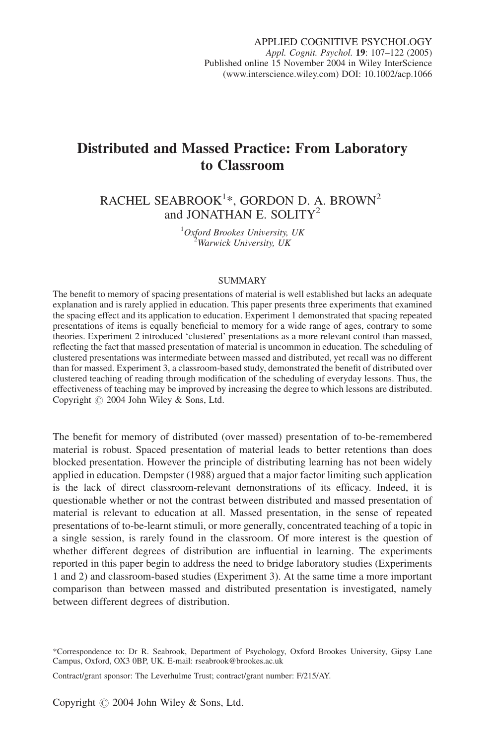# Distributed and Massed Practice: From Laboratory to Classroom

# RACHEL SEABROOK $^{1*}$ , GORDON D. A. BROWN $^{2}$ and JONATHAN E. SOLITY<sup>2</sup>

<sup>1</sup>Oxford Brookes University, UK<br><sup>2</sup>Warwick University, UK  $2^2$ Warwick University, UK

#### SUMMARY

The benefit to memory of spacing presentations of material is well established but lacks an adequate explanation and is rarely applied in education. This paper presents three experiments that examined the spacing effect and its application to education. Experiment 1 demonstrated that spacing repeated presentations of items is equally beneficial to memory for a wide range of ages, contrary to some theories. Experiment 2 introduced 'clustered' presentations as a more relevant control than massed, reflecting the fact that massed presentation of material is uncommon in education. The scheduling of clustered presentations was intermediate between massed and distributed, yet recall was no different than for massed. Experiment 3, a classroom-based study, demonstrated the benefit of distributed over clustered teaching of reading through modification of the scheduling of everyday lessons. Thus, the effectiveness of teaching may be improved by increasing the degree to which lessons are distributed. Copyright  $\odot$  2004 John Wiley & Sons, Ltd.

The benefit for memory of distributed (over massed) presentation of to-be-remembered material is robust. Spaced presentation of material leads to better retentions than does blocked presentation. However the principle of distributing learning has not been widely applied in education. Dempster (1988) argued that a major factor limiting such application is the lack of direct classroom-relevant demonstrations of its efficacy. Indeed, it is questionable whether or not the contrast between distributed and massed presentation of material is relevant to education at all. Massed presentation, in the sense of repeated presentations of to-be-learnt stimuli, or more generally, concentrated teaching of a topic in a single session, is rarely found in the classroom. Of more interest is the question of whether different degrees of distribution are influential in learning. The experiments reported in this paper begin to address the need to bridge laboratory studies (Experiments 1 and 2) and classroom-based studies (Experiment 3). At the same time a more important comparison than between massed and distributed presentation is investigated, namely between different degrees of distribution.

<sup>\*</sup>Correspondence to: Dr R. Seabrook, Department of Psychology, Oxford Brookes University, Gipsy Lane Campus, Oxford, OX3 0BP, UK. E-mail: rseabrook@brookes.ac.uk

Contract/grant sponsor: The Leverhulme Trust; contract/grant number: F/215/AY.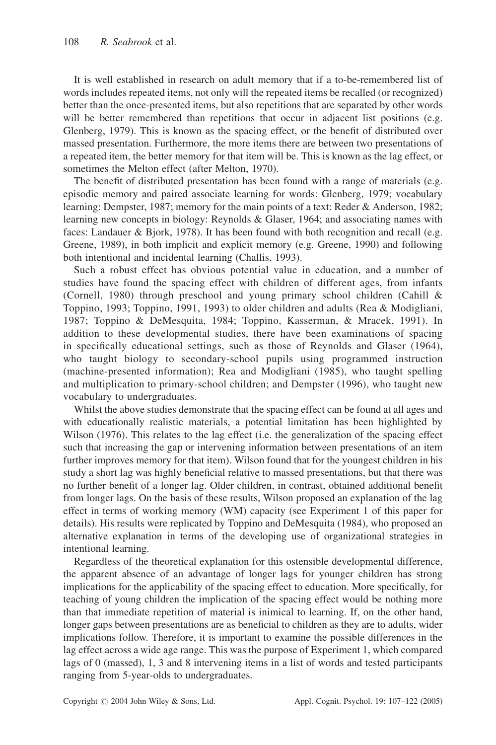It is well established in research on adult memory that if a to-be-remembered list of words includes repeated items, not only will the repeated items be recalled (or recognized) better than the once-presented items, but also repetitions that are separated by other words will be better remembered than repetitions that occur in adjacent list positions (e.g. Glenberg, 1979). This is known as the spacing effect, or the benefit of distributed over massed presentation. Furthermore, the more items there are between two presentations of a repeated item, the better memory for that item will be. This is known as the lag effect, or sometimes the Melton effect (after Melton, 1970).

The benefit of distributed presentation has been found with a range of materials (e.g. episodic memory and paired associate learning for words: Glenberg, 1979; vocabulary learning: Dempster, 1987; memory for the main points of a text: Reder & Anderson, 1982; learning new concepts in biology: Reynolds & Glaser, 1964; and associating names with faces: Landauer & Bjork, 1978). It has been found with both recognition and recall (e.g. Greene, 1989), in both implicit and explicit memory (e.g. Greene, 1990) and following both intentional and incidental learning (Challis, 1993).

Such a robust effect has obvious potential value in education, and a number of studies have found the spacing effect with children of different ages, from infants (Cornell, 1980) through preschool and young primary school children (Cahill & Toppino, 1993; Toppino, 1991, 1993) to older children and adults (Rea & Modigliani, 1987; Toppino & DeMesquita, 1984; Toppino, Kasserman, & Mracek, 1991). In addition to these developmental studies, there have been examinations of spacing in specifically educational settings, such as those of Reynolds and Glaser (1964), who taught biology to secondary-school pupils using programmed instruction (machine-presented information); Rea and Modigliani (1985), who taught spelling and multiplication to primary-school children; and Dempster (1996), who taught new vocabulary to undergraduates.

Whilst the above studies demonstrate that the spacing effect can be found at all ages and with educationally realistic materials, a potential limitation has been highlighted by Wilson (1976). This relates to the lag effect (i.e. the generalization of the spacing effect such that increasing the gap or intervening information between presentations of an item further improves memory for that item). Wilson found that for the youngest children in his study a short lag was highly beneficial relative to massed presentations, but that there was no further benefit of a longer lag. Older children, in contrast, obtained additional benefit from longer lags. On the basis of these results, Wilson proposed an explanation of the lag effect in terms of working memory (WM) capacity (see Experiment 1 of this paper for details). His results were replicated by Toppino and DeMesquita (1984), who proposed an alternative explanation in terms of the developing use of organizational strategies in intentional learning.

Regardless of the theoretical explanation for this ostensible developmental difference, the apparent absence of an advantage of longer lags for younger children has strong implications for the applicability of the spacing effect to education. More specifically, for teaching of young children the implication of the spacing effect would be nothing more than that immediate repetition of material is inimical to learning. If, on the other hand, longer gaps between presentations are as beneficial to children as they are to adults, wider implications follow. Therefore, it is important to examine the possible differences in the lag effect across a wide age range. This was the purpose of Experiment 1, which compared lags of 0 (massed), 1, 3 and 8 intervening items in a list of words and tested participants ranging from 5-year-olds to undergraduates.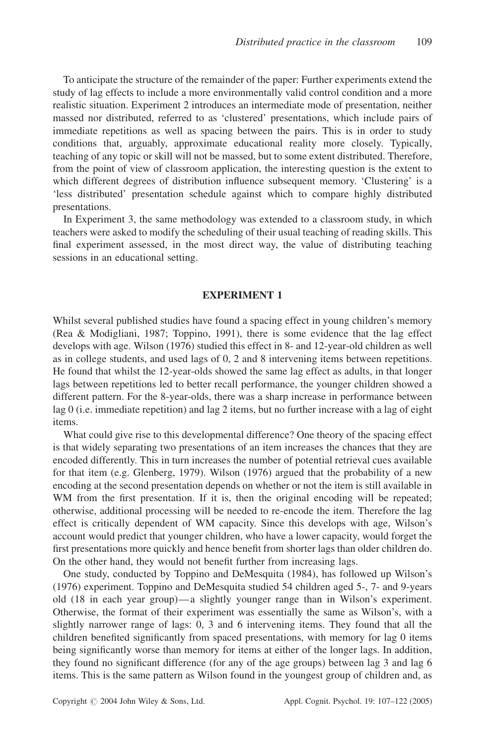To anticipate the structure of the remainder of the paper: Further experiments extend the study of lag effects to include a more environmentally valid control condition and a more realistic situation. Experiment 2 introduces an intermediate mode of presentation, neither massed nor distributed, referred to as 'clustered' presentations, which include pairs of immediate repetitions as well as spacing between the pairs. This is in order to study conditions that, arguably, approximate educational reality more closely. Typically, teaching of any topic or skill will not be massed, but to some extent distributed. Therefore, from the point of view of classroom application, the interesting question is the extent to which different degrees of distribution influence subsequent memory. 'Clustering' is a 'less distributed' presentation schedule against which to compare highly distributed presentations.

In Experiment 3, the same methodology was extended to a classroom study, in which teachers were asked to modify the scheduling of their usual teaching of reading skills. This final experiment assessed, in the most direct way, the value of distributing teaching sessions in an educational setting.

# EXPERIMENT 1

Whilst several published studies have found a spacing effect in young children's memory (Rea & Modigliani, 1987; Toppino, 1991), there is some evidence that the lag effect develops with age. Wilson (1976) studied this effect in 8- and 12-year-old children as well as in college students, and used lags of 0, 2 and 8 intervening items between repetitions. He found that whilst the 12-year-olds showed the same lag effect as adults, in that longer lags between repetitions led to better recall performance, the younger children showed a different pattern. For the 8-year-olds, there was a sharp increase in performance between lag 0 (i.e. immediate repetition) and lag 2 items, but no further increase with a lag of eight items.

What could give rise to this developmental difference? One theory of the spacing effect is that widely separating two presentations of an item increases the chances that they are encoded differently. This in turn increases the number of potential retrieval cues available for that item (e.g. Glenberg, 1979). Wilson (1976) argued that the probability of a new encoding at the second presentation depends on whether or not the item is still available in WM from the first presentation. If it is, then the original encoding will be repeated; otherwise, additional processing will be needed to re-encode the item. Therefore the lag effect is critically dependent of WM capacity. Since this develops with age, Wilson's account would predict that younger children, who have a lower capacity, would forget the first presentations more quickly and hence benefit from shorter lags than older children do. On the other hand, they would not benefit further from increasing lags.

One study, conducted by Toppino and DeMesquita (1984), has followed up Wilson's (1976) experiment. Toppino and DeMesquita studied 54 children aged 5-, 7- and 9-years old (18 in each year group)—a slightly younger range than in Wilson's experiment. Otherwise, the format of their experiment was essentially the same as Wilson's, with a slightly narrower range of lags: 0, 3 and 6 intervening items. They found that all the children benefited significantly from spaced presentations, with memory for lag 0 items being significantly worse than memory for items at either of the longer lags. In addition, they found no significant difference (for any of the age groups) between lag 3 and lag 6 items. This is the same pattern as Wilson found in the youngest group of children and, as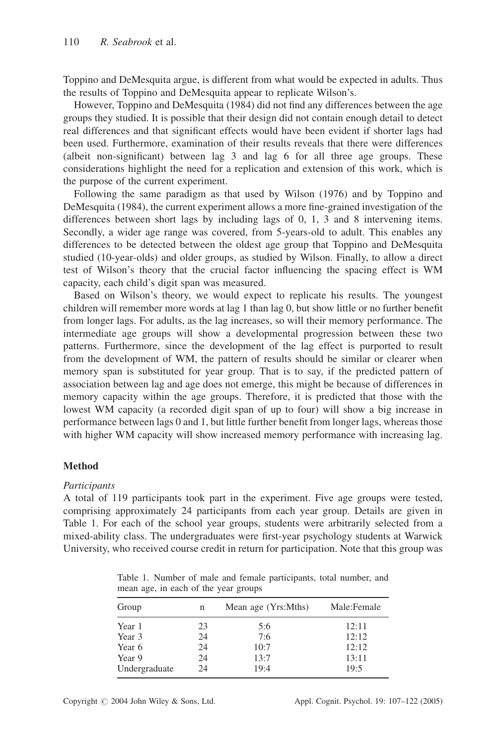Toppino and DeMesquita argue, is different from what would be expected in adults. Thus the results of Toppino and DeMesquita appear to replicate Wilson's.

However, Toppino and DeMesquita (1984) did not find any differences between the age groups they studied. It is possible that their design did not contain enough detail to detect real differences and that significant effects would have been evident if shorter lags had been used. Furthermore, examination of their results reveals that there were differences (albeit non-significant) between lag 3 and lag 6 for all three age groups. These considerations highlight the need for a replication and extension of this work, which is the purpose of the current experiment.

Following the same paradigm as that used by Wilson (1976) and by Toppino and DeMesquita (1984), the current experiment allows a more fine-grained investigation of the differences between short lags by including lags of 0, 1, 3 and 8 intervening items. Secondly, a wider age range was covered, from 5-years-old to adult. This enables any differences to be detected between the oldest age group that Toppino and DeMesquita studied (10-year-olds) and older groups, as studied by Wilson. Finally, to allow a direct test of Wilson's theory that the crucial factor influencing the spacing effect is WM capacity, each child's digit span was measured.

Based on Wilson's theory, we would expect to replicate his results. The youngest children will remember more words at lag 1 than lag 0, but show little or no further benefit from longer lags. For adults, as the lag increases, so will their memory performance. The intermediate age groups will show a developmental progression between these two patterns. Furthermore, since the development of the lag effect is purported to result from the development of WM, the pattern of results should be similar or clearer when memory span is substituted for year group. That is to say, if the predicted pattern of association between lag and age does not emerge, this might be because of differences in memory capacity within the age groups. Therefore, it is predicted that those with the lowest WM capacity (a recorded digit span of up to four) will show a big increase in performance between lags 0 and 1, but little further benefit from longer lags, whereas those with higher WM capacity will show increased memory performance with increasing lag.

# Method

#### **Participants**

A total of 119 participants took part in the experiment. Five age groups were tested, comprising approximately 24 participants from each year group. Details are given in Table 1. For each of the school year groups, students were arbitrarily selected from a mixed-ability class. The undergraduates were first-year psychology students at Warwick University, who received course credit in return for participation. Note that this group was

| Group         | n  | Mean age (Yrs:Mths) | Male:Female |
|---------------|----|---------------------|-------------|
| Year 1        | 23 | 5:6                 | 12:11       |
| Year 3        | 24 | 7:6                 | 12:12       |
| Year 6        | 24 | 10:7                | 12:12       |
| Year 9        | 24 | 13:7                | 13:11       |
| Undergraduate | 24 | 19:4                | 19:5        |

Table 1. Number of male and female participants, total number, and mean age, in each of the year groups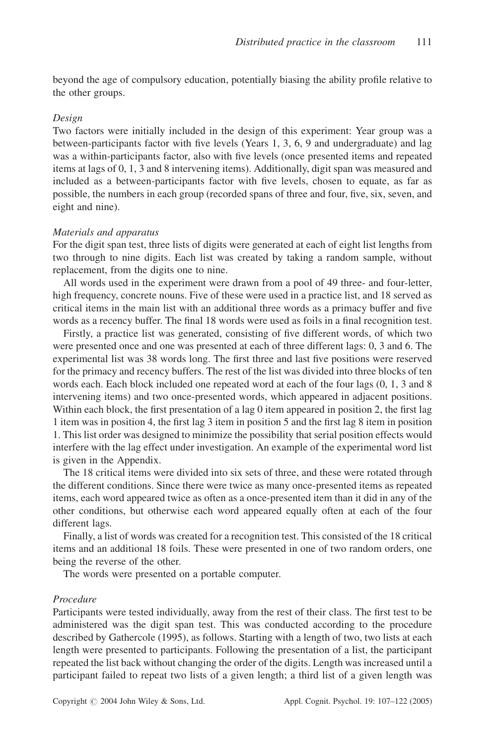beyond the age of compulsory education, potentially biasing the ability profile relative to the other groups.

#### Design

Two factors were initially included in the design of this experiment: Year group was a between-participants factor with five levels (Years 1, 3, 6, 9 and undergraduate) and lag was a within-participants factor, also with five levels (once presented items and repeated items at lags of 0, 1, 3 and 8 intervening items). Additionally, digit span was measured and included as a between-participants factor with five levels, chosen to equate, as far as possible, the numbers in each group (recorded spans of three and four, five, six, seven, and eight and nine).

## Materials and apparatus

For the digit span test, three lists of digits were generated at each of eight list lengths from two through to nine digits. Each list was created by taking a random sample, without replacement, from the digits one to nine.

All words used in the experiment were drawn from a pool of 49 three- and four-letter, high frequency, concrete nouns. Five of these were used in a practice list, and 18 served as critical items in the main list with an additional three words as a primacy buffer and five words as a recency buffer. The final 18 words were used as foils in a final recognition test.

Firstly, a practice list was generated, consisting of five different words, of which two were presented once and one was presented at each of three different lags: 0, 3 and 6. The experimental list was 38 words long. The first three and last five positions were reserved for the primacy and recency buffers. The rest of the list was divided into three blocks of ten words each. Each block included one repeated word at each of the four lags (0, 1, 3 and 8 intervening items) and two once-presented words, which appeared in adjacent positions. Within each block, the first presentation of a lag 0 item appeared in position 2, the first lag 1 item was in position 4, the first lag 3 item in position 5 and the first lag 8 item in position 1. This list order was designed to minimize the possibility that serial position effects would interfere with the lag effect under investigation. An example of the experimental word list is given in the Appendix.

The 18 critical items were divided into six sets of three, and these were rotated through the different conditions. Since there were twice as many once-presented items as repeated items, each word appeared twice as often as a once-presented item than it did in any of the other conditions, but otherwise each word appeared equally often at each of the four different lags.

Finally, a list of words was created for a recognition test. This consisted of the 18 critical items and an additional 18 foils. These were presented in one of two random orders, one being the reverse of the other.

The words were presented on a portable computer.

## Procedure

Participants were tested individually, away from the rest of their class. The first test to be administered was the digit span test. This was conducted according to the procedure described by Gathercole (1995), as follows. Starting with a length of two, two lists at each length were presented to participants. Following the presentation of a list, the participant repeated the list back without changing the order of the digits. Length was increased until a participant failed to repeat two lists of a given length; a third list of a given length was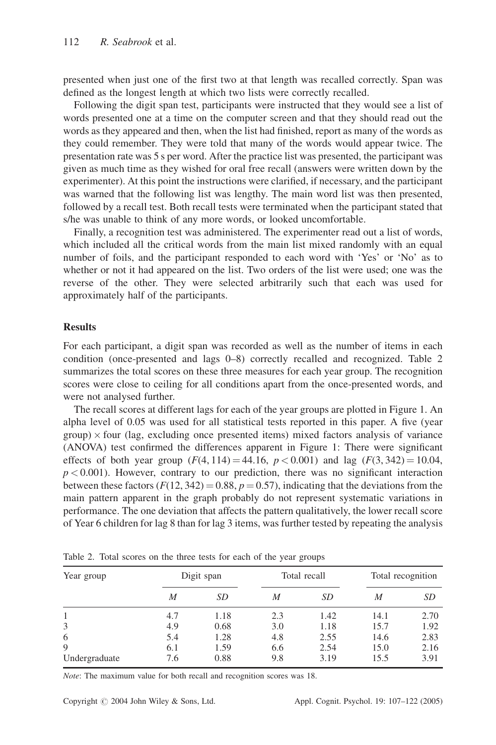presented when just one of the first two at that length was recalled correctly. Span was defined as the longest length at which two lists were correctly recalled.

Following the digit span test, participants were instructed that they would see a list of words presented one at a time on the computer screen and that they should read out the words as they appeared and then, when the list had finished, report as many of the words as they could remember. They were told that many of the words would appear twice. The presentation rate was 5 s per word. After the practice list was presented, the participant was given as much time as they wished for oral free recall (answers were written down by the experimenter). At this point the instructions were clarified, if necessary, and the participant was warned that the following list was lengthy. The main word list was then presented, followed by a recall test. Both recall tests were terminated when the participant stated that s/he was unable to think of any more words, or looked uncomfortable.

Finally, a recognition test was administered. The experimenter read out a list of words, which included all the critical words from the main list mixed randomly with an equal number of foils, and the participant responded to each word with 'Yes' or 'No' as to whether or not it had appeared on the list. Two orders of the list were used; one was the reverse of the other. They were selected arbitrarily such that each was used for approximately half of the participants.

#### Results

For each participant, a digit span was recorded as well as the number of items in each condition (once-presented and lags 0–8) correctly recalled and recognized. Table 2 summarizes the total scores on these three measures for each year group. The recognition scores were close to ceiling for all conditions apart from the once-presented words, and were not analysed further.

The recall scores at different lags for each of the year groups are plotted in Figure 1. An alpha level of 0.05 was used for all statistical tests reported in this paper. A five (year  $\gamma$ group)  $\times$  four (lag, excluding once presented items) mixed factors analysis of variance (ANOVA) test confirmed the differences apparent in Figure 1: There were significant effects of both year group  $(F(4, 114) = 44.16, p < 0.001)$  and lag  $(F(3, 342) = 10.04,$  $p < 0.001$ ). However, contrary to our prediction, there was no significant interaction between these factors  $(F(12, 342) = 0.88, p = 0.57)$ , indicating that the deviations from the main pattern apparent in the graph probably do not represent systematic variations in performance. The one deviation that affects the pattern qualitatively, the lower recall score of Year 6 children for lag 8 than for lag 3 items, was further tested by repeating the analysis

| Year group    |     | Digit span |     | Total recall |      | Total recognition |  |
|---------------|-----|------------|-----|--------------|------|-------------------|--|
|               | M   | SD         | M   | SD           | M    | SD                |  |
| 1             | 4.7 | 1.18       | 2.3 | 1.42         | 14.1 | 2.70              |  |
| 3             | 4.9 | 0.68       | 3.0 | 1.18         | 15.7 | 1.92              |  |
| 6             | 5.4 | 1.28       | 4.8 | 2.55         | 14.6 | 2.83              |  |
| 9             | 6.1 | 1.59       | 6.6 | 2.54         | 15.0 | 2.16              |  |
| Undergraduate | 7.6 | 0.88       | 9.8 | 3.19         | 15.5 | 3.91              |  |

Table 2. Total scores on the three tests for each of the year groups

Note: The maximum value for both recall and recognition scores was 18.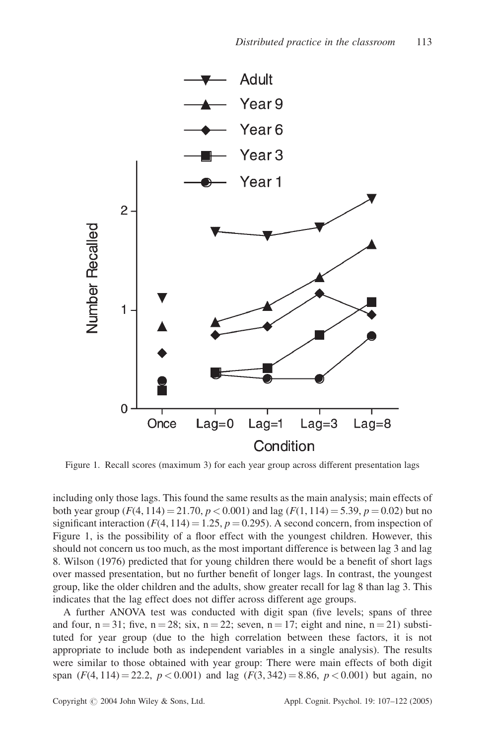

Figure 1. Recall scores (maximum 3) for each year group across different presentation lags

including only those lags. This found the same results as the main analysis; main effects of both year group  $(F(4, 114) = 21.70, p < 0.001)$  and lag  $(F(1, 114) = 5.39, p = 0.02)$  but no significant interaction  $(F(4, 114) = 1.25, p = 0.295)$ . A second concern, from inspection of Figure 1, is the possibility of a floor effect with the youngest children. However, this should not concern us too much, as the most important difference is between lag 3 and lag 8. Wilson (1976) predicted that for young children there would be a benefit of short lags over massed presentation, but no further benefit of longer lags. In contrast, the youngest group, like the older children and the adults, show greater recall for lag 8 than lag 3. This indicates that the lag effect does not differ across different age groups.

A further ANOVA test was conducted with digit span (five levels; spans of three and four,  $n = 31$ ; five,  $n = 28$ ; six,  $n = 22$ ; seven,  $n = 17$ ; eight and nine,  $n = 21$ ) substituted for year group (due to the high correlation between these factors, it is not appropriate to include both as independent variables in a single analysis). The results were similar to those obtained with year group: There were main effects of both digit span  $(F(4, 114) = 22.2, p < 0.001)$  and lag  $(F(3, 342) = 8.86, p < 0.001)$  but again, no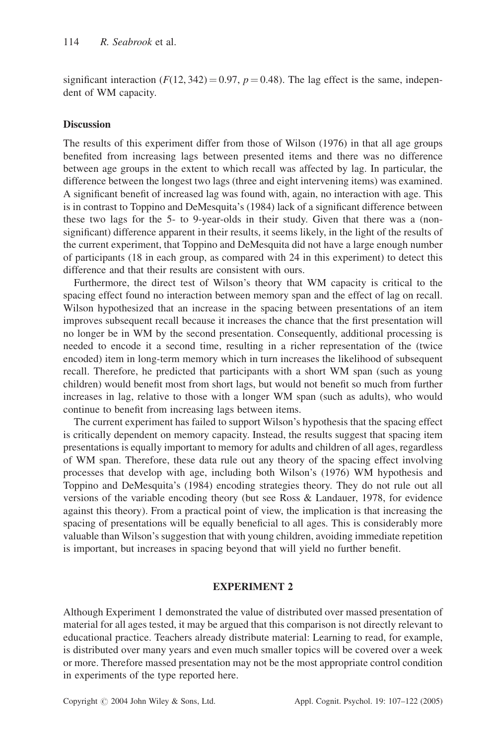significant interaction ( $F(12, 342) = 0.97$ ,  $p = 0.48$ ). The lag effect is the same, independent of WM capacity.

#### **Discussion**

The results of this experiment differ from those of Wilson (1976) in that all age groups benefited from increasing lags between presented items and there was no difference between age groups in the extent to which recall was affected by lag. In particular, the difference between the longest two lags (three and eight intervening items) was examined. A significant benefit of increased lag was found with, again, no interaction with age. This is in contrast to Toppino and DeMesquita's (1984) lack of a significant difference between these two lags for the 5- to 9-year-olds in their study. Given that there was a (nonsignificant) difference apparent in their results, it seems likely, in the light of the results of the current experiment, that Toppino and DeMesquita did not have a large enough number of participants (18 in each group, as compared with 24 in this experiment) to detect this difference and that their results are consistent with ours.

Furthermore, the direct test of Wilson's theory that WM capacity is critical to the spacing effect found no interaction between memory span and the effect of lag on recall. Wilson hypothesized that an increase in the spacing between presentations of an item improves subsequent recall because it increases the chance that the first presentation will no longer be in WM by the second presentation. Consequently, additional processing is needed to encode it a second time, resulting in a richer representation of the (twice encoded) item in long-term memory which in turn increases the likelihood of subsequent recall. Therefore, he predicted that participants with a short WM span (such as young children) would benefit most from short lags, but would not benefit so much from further increases in lag, relative to those with a longer WM span (such as adults), who would continue to benefit from increasing lags between items.

The current experiment has failed to support Wilson's hypothesis that the spacing effect is critically dependent on memory capacity. Instead, the results suggest that spacing item presentations is equally important to memory for adults and children of all ages, regardless of WM span. Therefore, these data rule out any theory of the spacing effect involving processes that develop with age, including both Wilson's (1976) WM hypothesis and Toppino and DeMesquita's (1984) encoding strategies theory. They do not rule out all versions of the variable encoding theory (but see Ross & Landauer, 1978, for evidence against this theory). From a practical point of view, the implication is that increasing the spacing of presentations will be equally beneficial to all ages. This is considerably more valuable than Wilson's suggestion that with young children, avoiding immediate repetition is important, but increases in spacing beyond that will yield no further benefit.

#### EXPERIMENT 2

Although Experiment 1 demonstrated the value of distributed over massed presentation of material for all ages tested, it may be argued that this comparison is not directly relevant to educational practice. Teachers already distribute material: Learning to read, for example, is distributed over many years and even much smaller topics will be covered over a week or more. Therefore massed presentation may not be the most appropriate control condition in experiments of the type reported here.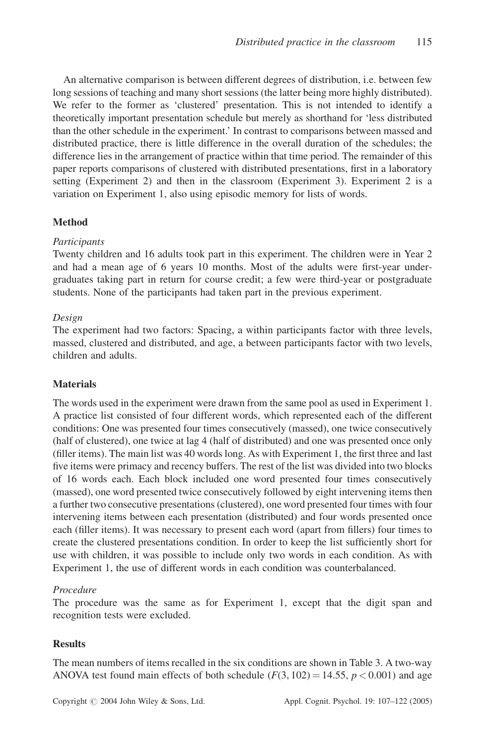An alternative comparison is between different degrees of distribution, i.e. between few long sessions of teaching and many short sessions (the latter being more highly distributed). We refer to the former as 'clustered' presentation. This is not intended to identify a theoretically important presentation schedule but merely as shorthand for 'less distributed than the other schedule in the experiment.' In contrast to comparisons between massed and distributed practice, there is little difference in the overall duration of the schedules; the difference lies in the arrangement of practice within that time period. The remainder of this paper reports comparisons of clustered with distributed presentations, first in a laboratory setting (Experiment 2) and then in the classroom (Experiment 3). Experiment 2 is a variation on Experiment 1, also using episodic memory for lists of words.

# Method

## **Participants**

Twenty children and 16 adults took part in this experiment. The children were in Year 2 and had a mean age of 6 years 10 months. Most of the adults were first-year undergraduates taking part in return for course credit; a few were third-year or postgraduate students. None of the participants had taken part in the previous experiment.

## Design

The experiment had two factors: Spacing, a within participants factor with three levels, massed, clustered and distributed, and age, a between participants factor with two levels, children and adults.

# **Materials**

The words used in the experiment were drawn from the same pool as used in Experiment 1. A practice list consisted of four different words, which represented each of the different conditions: One was presented four times consecutively (massed), one twice consecutively (half of clustered), one twice at lag 4 (half of distributed) and one was presented once only (filler items). The main list was 40 words long. As with Experiment 1, the first three and last five items were primacy and recency buffers. The rest of the list was divided into two blocks of 16 words each. Each block included one word presented four times consecutively (massed), one word presented twice consecutively followed by eight intervening items then a further two consecutive presentations (clustered), one word presented four times with four intervening items between each presentation (distributed) and four words presented once each (filler items). It was necessary to present each word (apart from fillers) four times to create the clustered presentations condition. In order to keep the list sufficiently short for use with children, it was possible to include only two words in each condition. As with Experiment 1, the use of different words in each condition was counterbalanced.

#### Procedure

The procedure was the same as for Experiment 1, except that the digit span and recognition tests were excluded.

#### **Results**

The mean numbers of items recalled in the six conditions are shown in Table 3. A two-way ANOVA test found main effects of both schedule  $(F(3, 102) = 14.55, p < 0.001)$  and age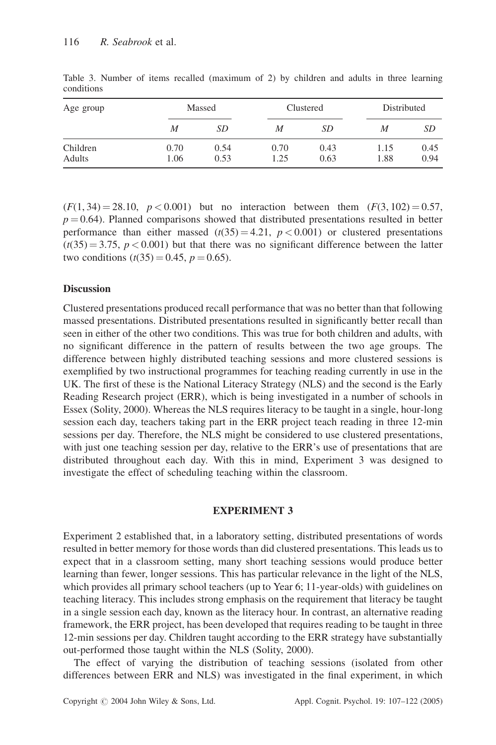| Age group          | Massed       |              | Clustered    |              | Distributed  |              |
|--------------------|--------------|--------------|--------------|--------------|--------------|--------------|
|                    | M            | SD.          | M            | SD           | M            | SD           |
| Children<br>Adults | 0.70<br>1.06 | 0.54<br>0.53 | 0.70<br>1.25 | 0.43<br>0.63 | 1.15<br>1.88 | 0.45<br>0.94 |

Table 3. Number of items recalled (maximum of 2) by children and adults in three learning conditions

 $(F(1, 34) = 28.10, p < 0.001)$  but no interaction between them  $(F(3, 102) = 0.57,$  $p = 0.64$ ). Planned comparisons showed that distributed presentations resulted in better performance than either massed  $(t(35) = 4.21, p < 0.001)$  or clustered presentations  $(t(35) = 3.75, p < 0.001)$  but that there was no significant difference between the latter two conditions  $(t(35) = 0.45, p = 0.65)$ .

### **Discussion**

Clustered presentations produced recall performance that was no better than that following massed presentations. Distributed presentations resulted in significantly better recall than seen in either of the other two conditions. This was true for both children and adults, with no significant difference in the pattern of results between the two age groups. The difference between highly distributed teaching sessions and more clustered sessions is exemplified by two instructional programmes for teaching reading currently in use in the UK. The first of these is the National Literacy Strategy (NLS) and the second is the Early Reading Research project (ERR), which is being investigated in a number of schools in Essex (Solity, 2000). Whereas the NLS requires literacy to be taught in a single, hour-long session each day, teachers taking part in the ERR project teach reading in three 12-min sessions per day. Therefore, the NLS might be considered to use clustered presentations, with just one teaching session per day, relative to the ERR's use of presentations that are distributed throughout each day. With this in mind, Experiment 3 was designed to investigate the effect of scheduling teaching within the classroom.

#### EXPERIMENT 3

Experiment 2 established that, in a laboratory setting, distributed presentations of words resulted in better memory for those words than did clustered presentations. This leads us to expect that in a classroom setting, many short teaching sessions would produce better learning than fewer, longer sessions. This has particular relevance in the light of the NLS, which provides all primary school teachers (up to Year 6; 11-year-olds) with guidelines on teaching literacy. This includes strong emphasis on the requirement that literacy be taught in a single session each day, known as the literacy hour. In contrast, an alternative reading framework, the ERR project, has been developed that requires reading to be taught in three 12-min sessions per day. Children taught according to the ERR strategy have substantially out-performed those taught within the NLS (Solity, 2000).

The effect of varying the distribution of teaching sessions (isolated from other differences between ERR and NLS) was investigated in the final experiment, in which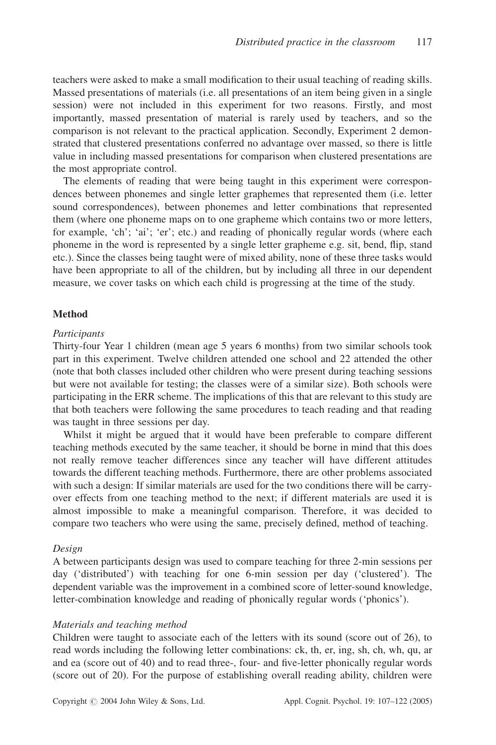teachers were asked to make a small modification to their usual teaching of reading skills. Massed presentations of materials (i.e. all presentations of an item being given in a single session) were not included in this experiment for two reasons. Firstly, and most importantly, massed presentation of material is rarely used by teachers, and so the comparison is not relevant to the practical application. Secondly, Experiment 2 demonstrated that clustered presentations conferred no advantage over massed, so there is little value in including massed presentations for comparison when clustered presentations are the most appropriate control.

The elements of reading that were being taught in this experiment were correspondences between phonemes and single letter graphemes that represented them (i.e. letter sound correspondences), between phonemes and letter combinations that represented them (where one phoneme maps on to one grapheme which contains two or more letters, for example, 'ch'; 'ai'; 'er'; etc.) and reading of phonically regular words (where each phoneme in the word is represented by a single letter grapheme e.g. sit, bend, flip, stand etc.). Since the classes being taught were of mixed ability, none of these three tasks would have been appropriate to all of the children, but by including all three in our dependent measure, we cover tasks on which each child is progressing at the time of the study.

#### Method

#### **Participants**

Thirty-four Year 1 children (mean age 5 years 6 months) from two similar schools took part in this experiment. Twelve children attended one school and 22 attended the other (note that both classes included other children who were present during teaching sessions but were not available for testing; the classes were of a similar size). Both schools were participating in the ERR scheme. The implications of this that are relevant to this study are that both teachers were following the same procedures to teach reading and that reading was taught in three sessions per day.

Whilst it might be argued that it would have been preferable to compare different teaching methods executed by the same teacher, it should be borne in mind that this does not really remove teacher differences since any teacher will have different attitudes towards the different teaching methods. Furthermore, there are other problems associated with such a design: If similar materials are used for the two conditions there will be carryover effects from one teaching method to the next; if different materials are used it is almost impossible to make a meaningful comparison. Therefore, it was decided to compare two teachers who were using the same, precisely defined, method of teaching.

#### Design

A between participants design was used to compare teaching for three 2-min sessions per day ('distributed') with teaching for one 6-min session per day ('clustered'). The dependent variable was the improvement in a combined score of letter-sound knowledge, letter-combination knowledge and reading of phonically regular words ('phonics').

#### Materials and teaching method

Children were taught to associate each of the letters with its sound (score out of 26), to read words including the following letter combinations: ck, th, er, ing, sh, ch, wh, qu, ar and ea (score out of 40) and to read three-, four- and five-letter phonically regular words (score out of 20). For the purpose of establishing overall reading ability, children were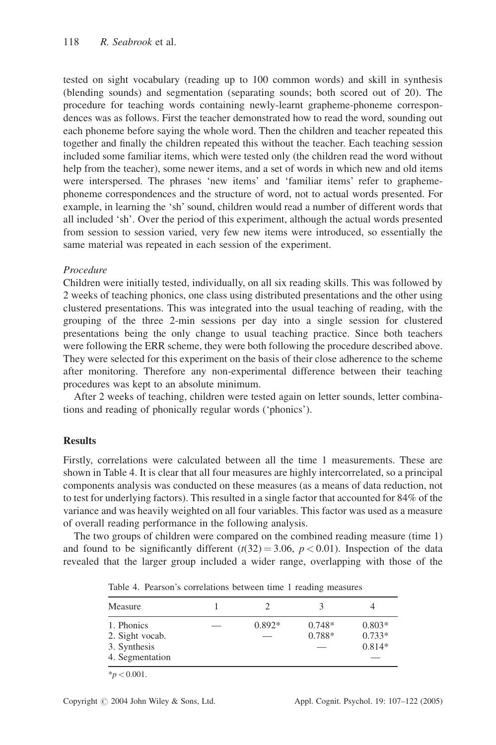tested on sight vocabulary (reading up to 100 common words) and skill in synthesis (blending sounds) and segmentation (separating sounds; both scored out of 20). The procedure for teaching words containing newly-learnt grapheme-phoneme correspondences was as follows. First the teacher demonstrated how to read the word, sounding out each phoneme before saying the whole word. Then the children and teacher repeated this together and finally the children repeated this without the teacher. Each teaching session included some familiar items, which were tested only (the children read the word without help from the teacher), some newer items, and a set of words in which new and old items were interspersed. The phrases 'new items' and 'familiar items' refer to graphemephoneme correspondences and the structure of word, not to actual words presented. For example, in learning the 'sh' sound, children would read a number of different words that all included 'sh'. Over the period of this experiment, although the actual words presented from session to session varied, very few new items were introduced, so essentially the same material was repeated in each session of the experiment.

## Procedure

Children were initially tested, individually, on all six reading skills. This was followed by 2 weeks of teaching phonics, one class using distributed presentations and the other using clustered presentations. This was integrated into the usual teaching of reading, with the grouping of the three 2-min sessions per day into a single session for clustered presentations being the only change to usual teaching practice. Since both teachers were following the ERR scheme, they were both following the procedure described above. They were selected for this experiment on the basis of their close adherence to the scheme after monitoring. Therefore any non-experimental difference between their teaching procedures was kept to an absolute minimum.

After 2 weeks of teaching, children were tested again on letter sounds, letter combinations and reading of phonically regular words ('phonics').

# Results

Firstly, correlations were calculated between all the time 1 measurements. These are shown in Table 4. It is clear that all four measures are highly intercorrelated, so a principal components analysis was conducted on these measures (as a means of data reduction, not to test for underlying factors). This resulted in a single factor that accounted for 84% of the variance and was heavily weighted on all four variables. This factor was used as a measure of overall reading performance in the following analysis.

The two groups of children were compared on the combined reading measure (time 1) and found to be significantly different  $(t(32) = 3.06, p < 0.01)$ . Inspection of the data revealed that the larger group included a wider range, overlapping with those of the

| Measure         |          |          |          |
|-----------------|----------|----------|----------|
| 1. Phonics      | $0.892*$ | $0.748*$ | $0.803*$ |
| 2. Sight vocab. |          | 0.788*   | $0.733*$ |
| 3. Synthesis    |          |          | $0.814*$ |
| 4. Segmentation |          |          |          |
| 4.001           |          |          |          |

Table 4. Pearson's correlations between time 1 reading measures

 $*_{p}$  < 0.001.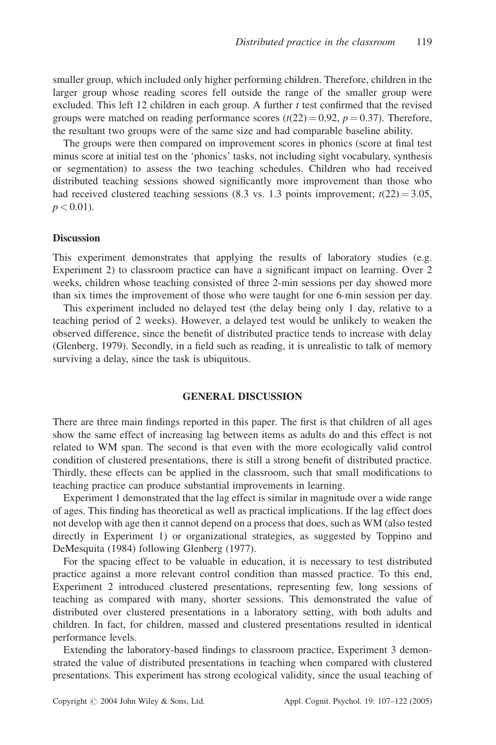smaller group, which included only higher performing children. Therefore, children in the larger group whose reading scores fell outside the range of the smaller group were excluded. This left 12 children in each group. A further  $t$  test confirmed that the revised groups were matched on reading performance scores  $(t(22) = 0.92, p = 0.37)$ . Therefore, the resultant two groups were of the same size and had comparable baseline ability.

The groups were then compared on improvement scores in phonics (score at final test minus score at initial test on the 'phonics' tasks, not including sight vocabulary, synthesis or segmentation) to assess the two teaching schedules. Children who had received distributed teaching sessions showed significantly more improvement than those who had received clustered teaching sessions (8.3 vs. 1.3 points improvement;  $t(22) = 3.05$ ,  $p < 0.01$ ).

#### **Discussion**

This experiment demonstrates that applying the results of laboratory studies (e.g. Experiment 2) to classroom practice can have a significant impact on learning. Over 2 weeks, children whose teaching consisted of three 2-min sessions per day showed more than six times the improvement of those who were taught for one 6-min session per day.

This experiment included no delayed test (the delay being only 1 day, relative to a teaching period of 2 weeks). However, a delayed test would be unlikely to weaken the observed difference, since the benefit of distributed practice tends to increase with delay (Glenberg, 1979). Secondly, in a field such as reading, it is unrealistic to talk of memory surviving a delay, since the task is ubiquitous.

#### GENERAL DISCUSSION

There are three main findings reported in this paper. The first is that children of all ages show the same effect of increasing lag between items as adults do and this effect is not related to WM span. The second is that even with the more ecologically valid control condition of clustered presentations, there is still a strong benefit of distributed practice. Thirdly, these effects can be applied in the classroom, such that small modifications to teaching practice can produce substantial improvements in learning.

Experiment 1 demonstrated that the lag effect is similar in magnitude over a wide range of ages. This finding has theoretical as well as practical implications. If the lag effect does not develop with age then it cannot depend on a process that does, such as WM (also tested directly in Experiment 1) or organizational strategies, as suggested by Toppino and DeMesquita (1984) following Glenberg (1977).

For the spacing effect to be valuable in education, it is necessary to test distributed practice against a more relevant control condition than massed practice. To this end, Experiment 2 introduced clustered presentations, representing few, long sessions of teaching as compared with many, shorter sessions. This demonstrated the value of distributed over clustered presentations in a laboratory setting, with both adults and children. In fact, for children, massed and clustered presentations resulted in identical performance levels.

Extending the laboratory-based findings to classroom practice, Experiment 3 demonstrated the value of distributed presentations in teaching when compared with clustered presentations. This experiment has strong ecological validity, since the usual teaching of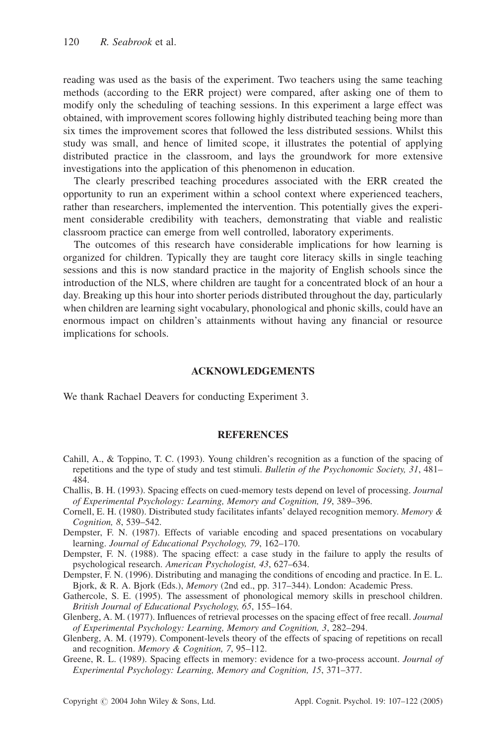reading was used as the basis of the experiment. Two teachers using the same teaching methods (according to the ERR project) were compared, after asking one of them to modify only the scheduling of teaching sessions. In this experiment a large effect was obtained, with improvement scores following highly distributed teaching being more than six times the improvement scores that followed the less distributed sessions. Whilst this study was small, and hence of limited scope, it illustrates the potential of applying distributed practice in the classroom, and lays the groundwork for more extensive investigations into the application of this phenomenon in education.

The clearly prescribed teaching procedures associated with the ERR created the opportunity to run an experiment within a school context where experienced teachers, rather than researchers, implemented the intervention. This potentially gives the experiment considerable credibility with teachers, demonstrating that viable and realistic classroom practice can emerge from well controlled, laboratory experiments.

The outcomes of this research have considerable implications for how learning is organized for children. Typically they are taught core literacy skills in single teaching sessions and this is now standard practice in the majority of English schools since the introduction of the NLS, where children are taught for a concentrated block of an hour a day. Breaking up this hour into shorter periods distributed throughout the day, particularly when children are learning sight vocabulary, phonological and phonic skills, could have an enormous impact on children's attainments without having any financial or resource implications for schools.

#### ACKNOWLEDGEMENTS

We thank Rachael Deavers for conducting Experiment 3.

#### **REFERENCES**

- Cahill, A., & Toppino, T. C. (1993). Young children's recognition as a function of the spacing of repetitions and the type of study and test stimuli. Bulletin of the Psychonomic Society, 31, 481– 484.
- Challis, B. H. (1993). Spacing effects on cued-memory tests depend on level of processing. Journal of Experimental Psychology: Learning, Memory and Cognition, 19, 389–396.
- Cornell, E. H. (1980). Distributed study facilitates infants' delayed recognition memory. Memory & Cognition, 8, 539–542.
- Dempster, F. N. (1987). Effects of variable encoding and spaced presentations on vocabulary learning. Journal of Educational Psychology, 79, 162–170.

Dempster, F. N. (1988). The spacing effect: a case study in the failure to apply the results of psychological research. American Psychologist, 43, 627–634.

Dempster, F. N. (1996). Distributing and managing the conditions of encoding and practice. In E. L. Bjork, & R. A. Bjork (Eds.), Memory (2nd ed., pp. 317–344). London: Academic Press.

Gathercole, S. E. (1995). The assessment of phonological memory skills in preschool children. British Journal of Educational Psychology, 65, 155–164.

- Glenberg, A. M. (1977). Influences of retrieval processes on the spacing effect of free recall. Journal of Experimental Psychology: Learning, Memory and Cognition, 3, 282–294.
- Glenberg, A. M. (1979). Component-levels theory of the effects of spacing of repetitions on recall and recognition. Memory & Cognition, 7, 95-112.
- Greene, R. L. (1989). Spacing effects in memory: evidence for a two-process account. Journal of Experimental Psychology: Learning, Memory and Cognition, 15, 371–377.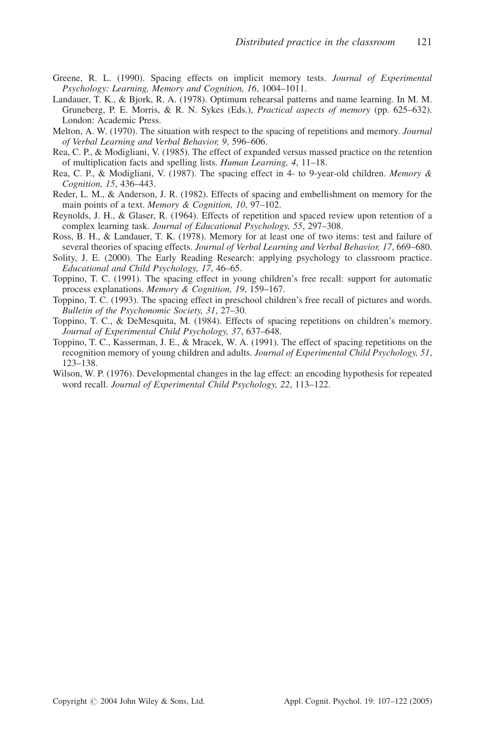- Greene, R. L. (1990). Spacing effects on implicit memory tests. *Journal of Experimental* Psychology: Learning, Memory and Cognition, 16, 1004–1011.
- Landauer, T. K., & Bjork, R. A. (1978). Optimum rehearsal patterns and name learning. In M. M. Gruneberg, P. E. Morris, & R. N. Sykes (Eds.), Practical aspects of memory (pp. 625–632). London: Academic Press.
- Melton, A. W. (1970). The situation with respect to the spacing of repetitions and memory. *Journal* of Verbal Learning and Verbal Behavior, 9, 596–606.
- Rea, C. P., & Modigliani, V. (1985). The effect of expanded versus massed practice on the retention of multiplication facts and spelling lists. Human Learning, 4, 11–18.
- Rea, C. P., & Modigliani, V. (1987). The spacing effect in 4- to 9-year-old children. Memory & Cognition, 15, 436–443.
- Reder, L. M., & Anderson, J. R. (1982). Effects of spacing and embellishment on memory for the main points of a text. Memory & Cognition, 10, 97-102.
- Reynolds, J. H., & Glaser, R. (1964). Effects of repetition and spaced review upon retention of a complex learning task. Journal of Educational Psychology, 55, 297–308.
- Ross, B. H., & Landauer, T. K. (1978). Memory for at least one of two items: test and failure of several theories of spacing effects. Journal of Verbal Learning and Verbal Behavior, 17, 669–680.
- Solity, J. E. (2000). The Early Reading Research: applying psychology to classroom practice. Educational and Child Psychology, 17, 46–65.
- Toppino, T. C. (1991). The spacing effect in young children's free recall: support for automatic process explanations. Memory & Cognition, 19, 159–167.
- Toppino, T. C. (1993). The spacing effect in preschool children's free recall of pictures and words. Bulletin of the Psychonomic Society, 31, 27–30.
- Toppino, T. C., & DeMesquita, M. (1984). Effects of spacing repetitions on children's memory. Journal of Experimental Child Psychology, 37, 637–648.
- Toppino, T. C., Kasserman, J. E., & Mracek, W. A. (1991). The effect of spacing repetitions on the recognition memory of young children and adults. Journal of Experimental Child Psychology, 51, 123–138.
- Wilson, W. P. (1976). Developmental changes in the lag effect: an encoding hypothesis for repeated word recall. Journal of Experimental Child Psychology, 22, 113-122.